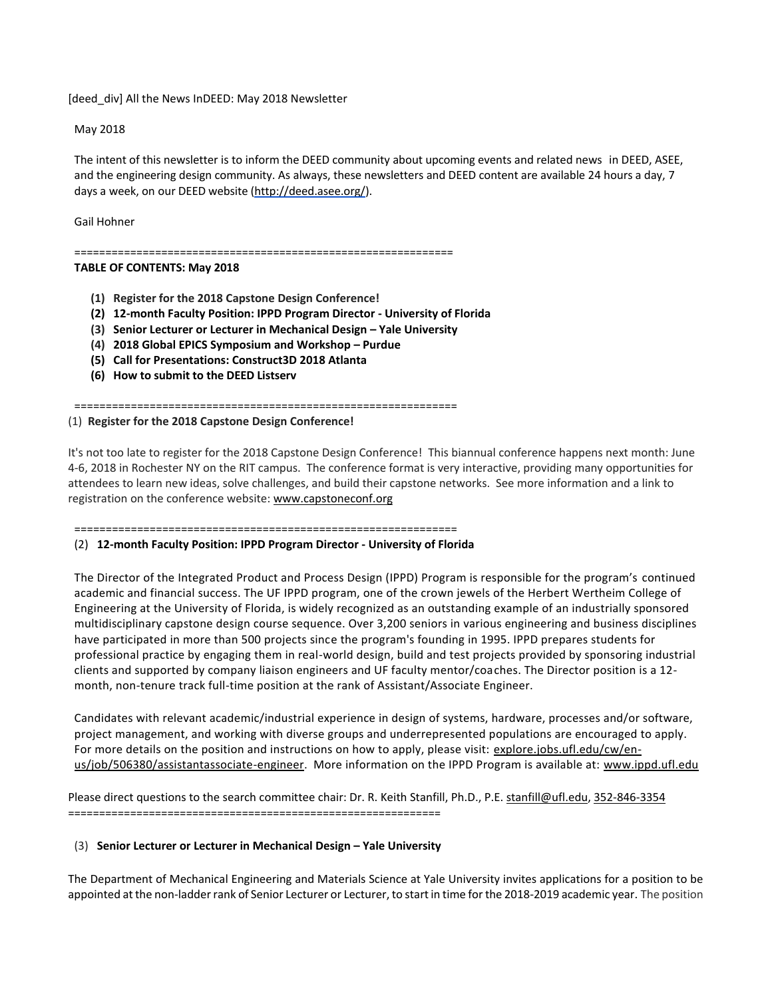[deed\_div] All the News InDEED: May 2018 Newsletter

May 2018

The intent of this newsletter is to inform the DEED community about upcoming events and related news in DEED, ASEE, and the engineering design community. As always, these newsletters and DEED content are available 24 hours a day, 7 days a week, on our DEED website [\(http://deed.asee.org/\)](http://deed.asee.org/).

Gail Hohner

=============================================================

# **TABLE OF CONTENTS: May 2018**

- **(1) Register for the 2018 Capstone Design Conference!**
- **(2) 12-month Faculty Position: IPPD Program Director - University of Florida**
- **(3) Senior Lecturer or Lecturer in Mechanical Design – Yale University**
- **(4) 2018 Global EPICS Symposium and Workshop – Purdue**
- **(5) Call for Presentations: Construct3D 2018 Atlanta**
- **(6) How to submit to the DEED Listserv**

=============================================================

#### (1) **Register for the 2018 Capstone Design Conference!**

It's not too late to register for the 2018 Capstone Design Conference! This biannual conference happens next month: June 4-6, 2018 in Rochester NY on the RIT campus. The conference format is very interactive, providing many opportunities for attendees to learn new ideas, solve challenges, and build their capstone networks. See more information and a link to registration on the conference website: [www.capstoneconf.org](http://www.capstoneconf.org/)

=============================================================

### (2) **12-month Faculty Position: IPPD Program Director - University of Florida**

The Director of the Integrated Product and Process Design (IPPD) Program is responsible for the program's continued academic and financial success. The UF IPPD program, one of the crown jewels of the Herbert Wertheim College of Engineering at the University of Florida, is widely recognized as an outstanding example of an industrially sponsored multidisciplinary capstone design course sequence. Over 3,200 seniors in various engineering and business disciplines have participated in more than 500 projects since the program's founding in 1995. IPPD prepares students for professional practice by engaging them in real-world design, build and test projects provided by sponsoring industrial clients and supported by company liaison engineers and UF faculty mentor/coaches. The Director position is a 12 month, non-tenure track full-time position at the rank of Assistant/Associate Engineer.

Candidates with relevant academic/industrial experience in design of systems, hardware, processes and/or software, project management, and working with diverse groups and underrepresented populations are encouraged to apply. For more details on the position and instructions on how to apply, please visit: [explore.jobs.ufl.edu/cw/en](http://explore.jobs.ufl.edu/cw/en-us/job/506380/assistantassociate-engineer)[us/job/506380/assistantassociate-engineer.](http://explore.jobs.ufl.edu/cw/en-us/job/506380/assistantassociate-engineer) More information on the IPPD Program is available at: [www.ippd.ufl.edu](http://www.ippd.ufl.edu/)

Please direct questions to the search committee chair: Dr. R. Keith Stanfill, Ph.D., P.E. [stanfill@ufl.edu,](mailto:stanfill@ufl.edu) [352-846-3354](tel:(352)%20846-3354) ============================================================

### (3) **Senior Lecturer or Lecturer in Mechanical Design – Yale University**

The Department of Mechanical Engineering and Materials Science at Yale University invites applications for a position to be appointed at the non-ladder rank of Senior Lecturer or Lecturer, to start in time for the 2018-2019 academic year. The position